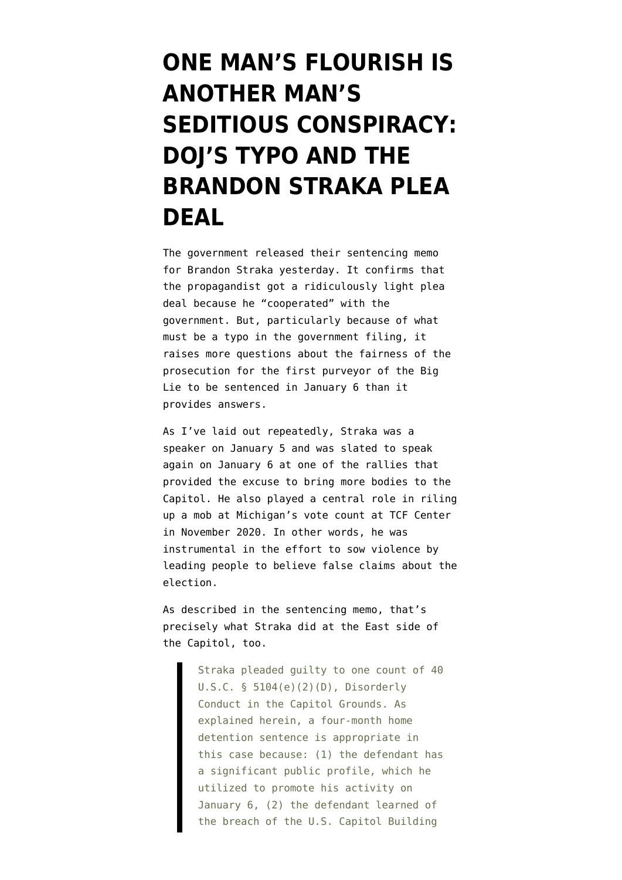# **[ONE MAN'S FLOURISH IS](https://www.emptywheel.net/2022/01/14/one-mans-flourish-is-another-mans-seditious-conspiracy-dojs-typo-and-the-brandon-straka-plea-deal/) [ANOTHER MAN'S](https://www.emptywheel.net/2022/01/14/one-mans-flourish-is-another-mans-seditious-conspiracy-dojs-typo-and-the-brandon-straka-plea-deal/) [SEDITIOUS CONSPIRACY:](https://www.emptywheel.net/2022/01/14/one-mans-flourish-is-another-mans-seditious-conspiracy-dojs-typo-and-the-brandon-straka-plea-deal/) [DOJ'S TYPO AND THE](https://www.emptywheel.net/2022/01/14/one-mans-flourish-is-another-mans-seditious-conspiracy-dojs-typo-and-the-brandon-straka-plea-deal/) [BRANDON STRAKA PLEA](https://www.emptywheel.net/2022/01/14/one-mans-flourish-is-another-mans-seditious-conspiracy-dojs-typo-and-the-brandon-straka-plea-deal/) [DEAL](https://www.emptywheel.net/2022/01/14/one-mans-flourish-is-another-mans-seditious-conspiracy-dojs-typo-and-the-brandon-straka-plea-deal/)**

The government released their [sentencing memo](https://storage.courtlistener.com/recap/gov.uscourts.dcd.235647/gov.uscourts.dcd.235647.36.0.pdf) for Brandon Straka yesterday. It confirms that the propagandist got a ridiculously light plea deal because he "cooperated" with the government. But, particularly because of what must be a typo in the government filing, it raises more questions about the fairness of the prosecution for the first purveyor of the Big Lie to be sentenced in January 6 than it provides answers.

As I've laid out repeatedly, Straka was a speaker on January 5 and was slated to speak again on January 6 at one of the rallies that provided the excuse to bring more bodies to the Capitol. He also played a [central role in riling](https://www.youtube.com/watch?v=UbTpPezJkSw) [up a mob](https://www.youtube.com/watch?v=UbTpPezJkSw) at Michigan's vote count at TCF Center in November 2020. In other words, he was instrumental in the effort to sow violence by leading people to believe false claims about the election.

As described in the sentencing memo, that's precisely what Straka did at the East side of the Capitol, too.

> Straka pleaded guilty to one count of 40 U.S.C. § 5104(e)(2)(D), Disorderly Conduct in the Capitol Grounds. As explained herein, a four-month home detention sentence is appropriate in this case because: (1) the defendant has a significant public profile, which he utilized to promote his activity on January 6, (2) the defendant learned of the breach of the U.S. Capitol Building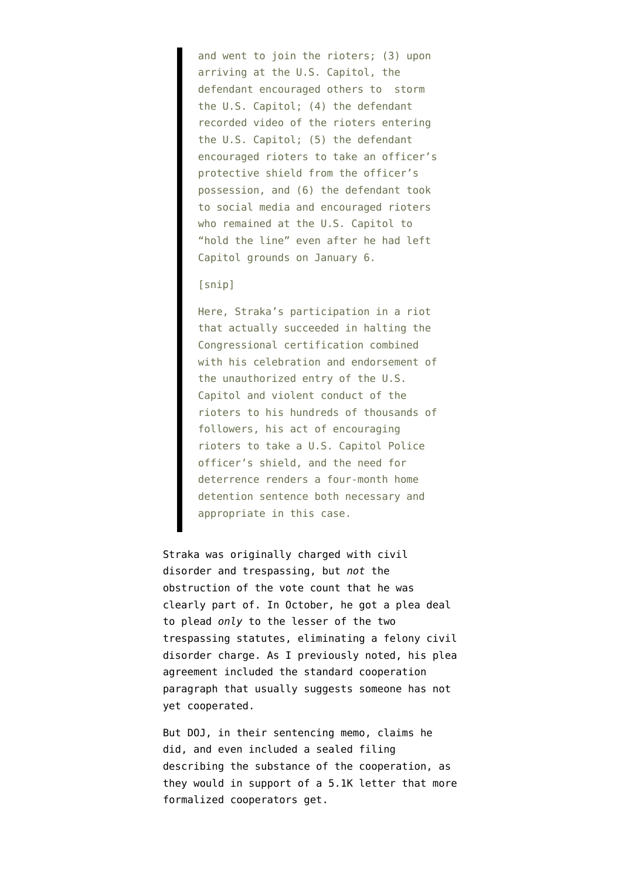and went to join the rioters; (3) upon arriving at the U.S. Capitol, the defendant encouraged others to storm the U.S. Capitol; (4) the defendant recorded video of the rioters entering the U.S. Capitol; (5) the defendant encouraged rioters to take an officer's protective shield from the officer's possession, and (6) the defendant took to social media and encouraged rioters who remained at the U.S. Capitol to "hold the line" even after he had left Capitol grounds on January 6.

#### [snip]

Here, Straka's participation in a riot that actually succeeded in halting the Congressional certification combined with his celebration and endorsement of the unauthorized entry of the U.S. Capitol and violent conduct of the rioters to his hundreds of thousands of followers, his act of encouraging rioters to take a U.S. Capitol Police officer's shield, and the need for deterrence renders a four-month home detention sentence both necessary and appropriate in this case.

Straka was originally charged with civil disorder and trespassing, but *not* the obstruction of the vote count that he was clearly part of. In October, [he got a plea deal](https://storage.courtlistener.com/recap/gov.uscourts.dcd.235647/gov.uscourts.dcd.235647.25.0_2.pdf) [to plead](https://storage.courtlistener.com/recap/gov.uscourts.dcd.235647/gov.uscourts.dcd.235647.25.0_2.pdf) *only* to the lesser of the two trespassing statutes, eliminating a felony civil disorder charge. As [I previously noted,](https://www.emptywheel.net/2021/12/16/the-pied-piper-of-insurrection-and-other-challenges-in-charging-the-january-6-organizer-inciters/) his [plea](https://storage.courtlistener.com/recap/gov.uscourts.dcd.235647/gov.uscourts.dcd.235647.25.0_2.pdf) [agreement](https://storage.courtlistener.com/recap/gov.uscourts.dcd.235647/gov.uscourts.dcd.235647.25.0_2.pdf) included the standard cooperation paragraph that usually suggests someone has not yet cooperated.

But DOJ, in their sentencing memo, claims he did, and even included a sealed filing describing the substance of the cooperation, as they would in support of a 5.1K letter that more formalized cooperators get.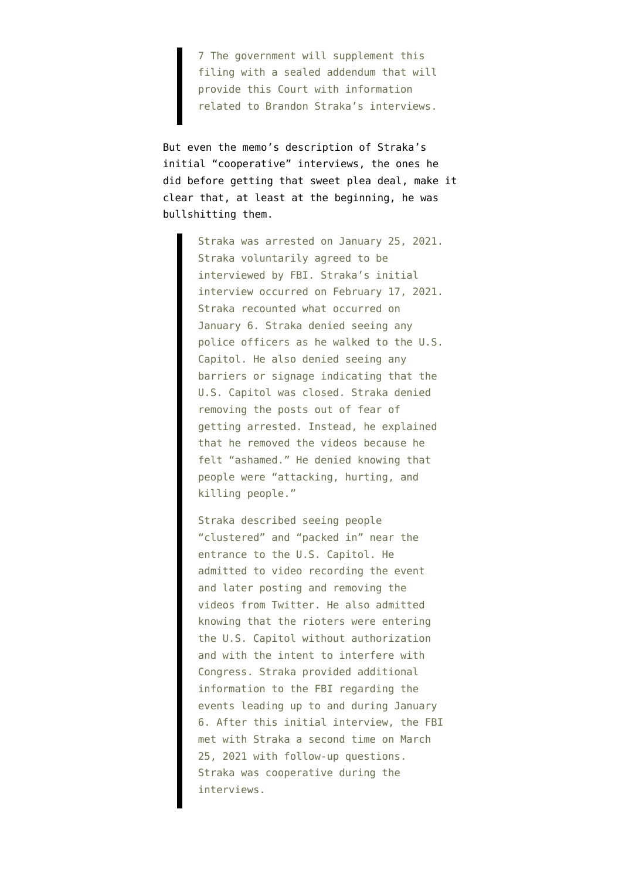7 The government will supplement this filing with a sealed addendum that will provide this Court with information related to Brandon Straka's interviews.

But even the memo's description of Straka's initial "cooperative" interviews, the ones he did before getting that sweet plea deal, make it clear that, at least at the beginning, he was bullshitting them.

> Straka was arrested on January 25, 2021. Straka voluntarily agreed to be interviewed by FBI. Straka's initial interview occurred on February 17, 2021. Straka recounted what occurred on January 6. Straka denied seeing any police officers as he walked to the U.S. Capitol. He also denied seeing any barriers or signage indicating that the U.S. Capitol was closed. Straka denied removing the posts out of fear of getting arrested. Instead, he explained that he removed the videos because he felt "ashamed." He denied knowing that people were "attacking, hurting, and killing people."

> Straka described seeing people "clustered" and "packed in" near the entrance to the U.S. Capitol. He admitted to video recording the event and later posting and removing the videos from Twitter. He also admitted knowing that the rioters were entering the U.S. Capitol without authorization and with the intent to interfere with Congress. Straka provided additional information to the FBI regarding the events leading up to and during January 6. After this initial interview, the FBI met with Straka a second time on March 25, 2021 with follow-up questions. Straka was cooperative during the interviews.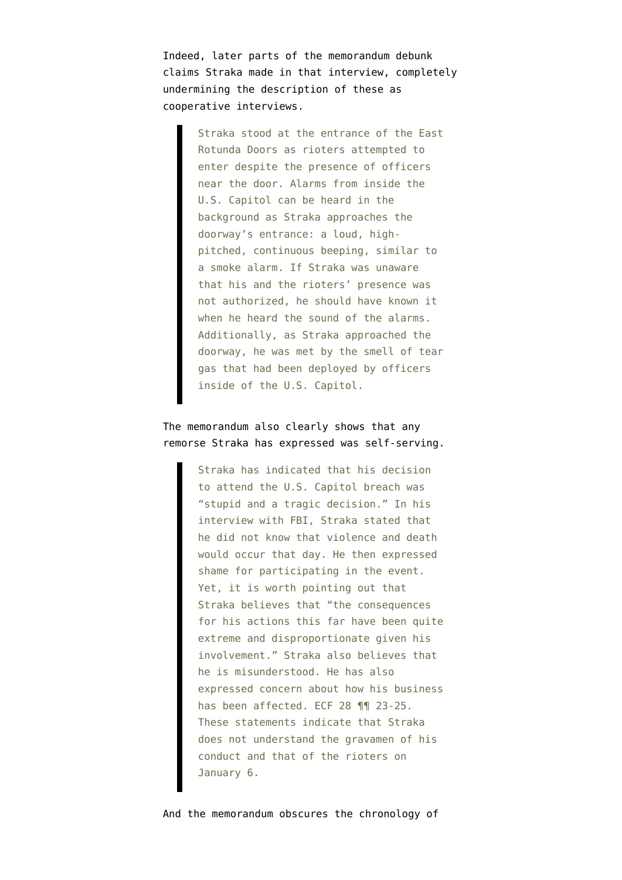Indeed, later parts of the memorandum debunk claims Straka made in that interview, completely undermining the description of these as cooperative interviews.

> Straka stood at the entrance of the East Rotunda Doors as rioters attempted to enter despite the presence of officers near the door. Alarms from inside the U.S. Capitol can be heard in the background as Straka approaches the doorway's entrance: a loud, highpitched, continuous beeping, similar to a smoke alarm. If Straka was unaware that his and the rioters' presence was not authorized, he should have known it when he heard the sound of the alarms. Additionally, as Straka approached the doorway, he was met by the smell of tear gas that had been deployed by officers inside of the U.S. Capitol.

### The memorandum also clearly shows that any remorse Straka has expressed was self-serving.

Straka has indicated that his decision to attend the U.S. Capitol breach was "stupid and a tragic decision." In his interview with FBI, Straka stated that he did not know that violence and death would occur that day. He then expressed shame for participating in the event. Yet, it is worth pointing out that Straka believes that "the consequences for his actions this far have been quite extreme and disproportionate given his involvement." Straka also believes that he is misunderstood. He has also expressed concern about how his business has been affected. ECF 28 ¶¶ 23-25. These statements indicate that Straka does not understand the gravamen of his conduct and that of the rioters on January 6.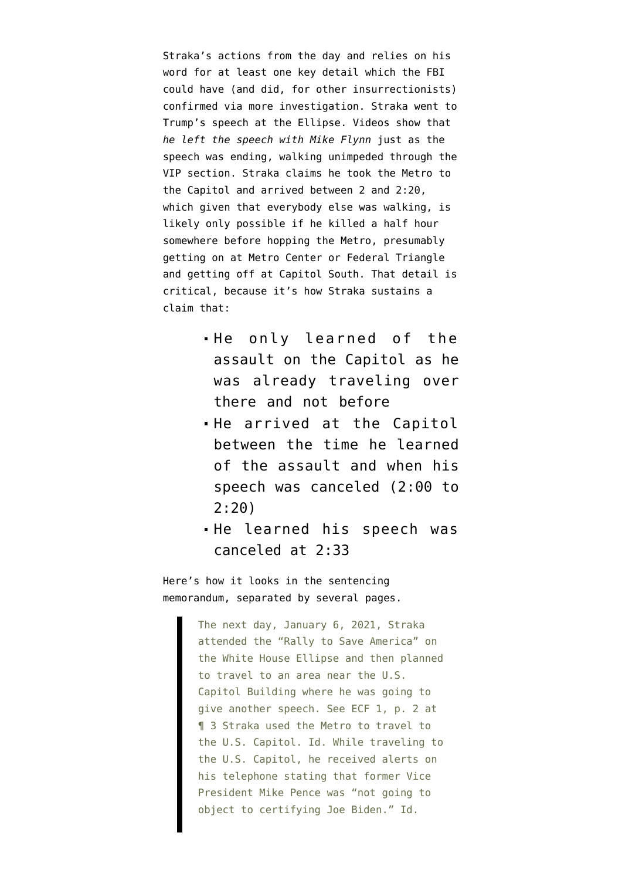Straka's actions from the day and relies on his word for at least one key detail which the FBI could have (and did, for other insurrectionists) confirmed via more investigation. Straka went to Trump's speech at the Ellipse. Videos show that *he left the speech with Mike Flynn* just as the speech was ending, walking unimpeded through the VIP section. Straka claims he took the Metro to the Capitol and arrived between 2 and 2:20, which given that everybody else was walking, is likely only possible if he killed a half hour somewhere before hopping the Metro, presumably getting on at Metro Center or Federal Triangle and getting off at Capitol South. That detail is critical, because it's how Straka sustains a claim that:

- He only learned of the assault on the Capitol as he was already traveling over there and not before
- He arrived at the Capitol between the time he learned of the assault and when his speech was canceled (2:00 to 2:20)
- He learned his speech was canceled at 2:33

Here's how it looks in the sentencing memorandum, separated by several pages.

> The next day, January 6, 2021, Straka attended the "Rally to Save America" on the White House Ellipse and then planned to travel to an area near the U.S. Capitol Building where he was going to give another speech. See ECF 1, p. 2 at ¶ 3 Straka used the Metro to travel to the U.S. Capitol. Id. While traveling to the U.S. Capitol, he received alerts on his telephone stating that former Vice President Mike Pence was "not going to object to certifying Joe Biden." Id.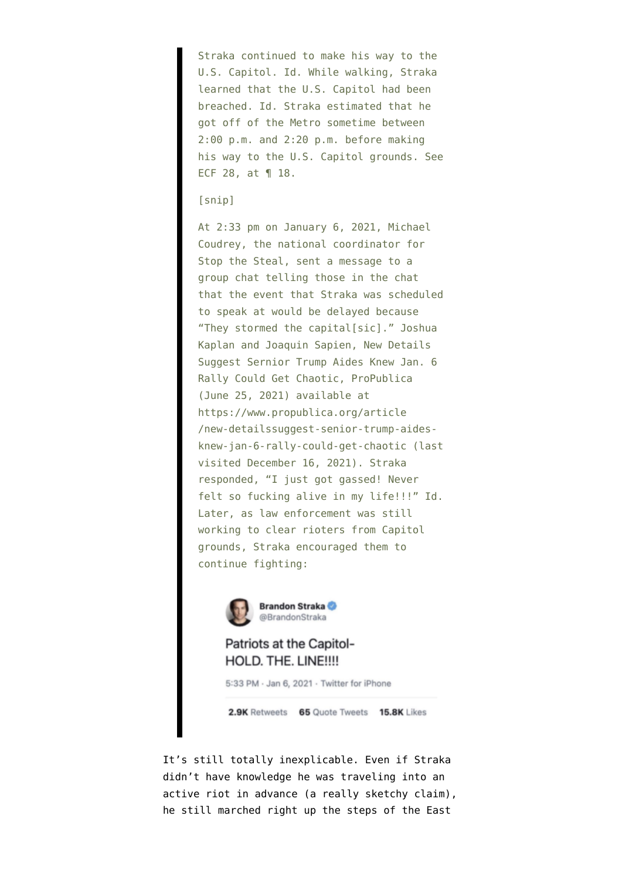Straka continued to make his way to the U.S. Capitol. Id. While walking, Straka learned that the U.S. Capitol had been breached. Id. Straka estimated that he got off of the Metro sometime between 2:00 p.m. and 2:20 p.m. before making his way to the U.S. Capitol grounds. See ECF 28, at ¶ 18.

#### [snip]

At 2:33 pm on January 6, 2021, Michael Coudrey, the national coordinator for Stop the Steal, sent a message to a group chat telling those in the chat that the event that Straka was scheduled to speak at would be delayed because "They stormed the capital[sic]." Joshua Kaplan and Joaquin Sapien, New Details Suggest Sernior Trump Aides Knew Jan. 6 Rally Could Get Chaotic, ProPublica (June 25, 2021) available at https://www.propublica.org/article /new-detailssuggest-senior-trump-aidesknew-jan-6-rally-could-get-chaotic (last visited December 16, 2021). Straka responded, "I just got gassed! Never felt so fucking alive in my life!!!" Id. Later, as law enforcement was still working to clear rioters from Capitol grounds, Straka encouraged them to continue fighting:



## Patriots at the Capitol-HOLD. THE. LINE !!!!

5:33 PM - Jan 6, 2021 - Twitter for iPhone

2.9K Retweets 65 Quote Tweets 15.8K Likes

It's still totally inexplicable. Even if Straka didn't have knowledge he was traveling into an active riot in advance (a really sketchy claim), he still marched right up the steps of the East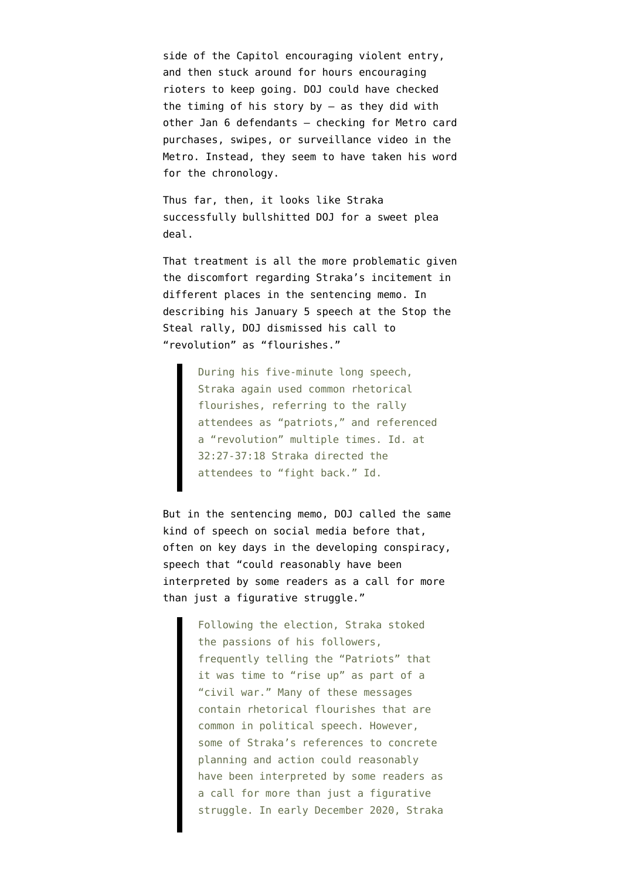side of the Capitol encouraging violent entry, and then stuck around for hours encouraging rioters to keep going. DOJ could have checked the timing of his story by  $-$  as they did with other Jan 6 defendants — checking for Metro card purchases, swipes, or surveillance video in the Metro. Instead, they seem to have taken his word for the chronology.

Thus far, then, it looks like Straka successfully bullshitted DOJ for a sweet plea deal.

That treatment is all the more problematic given the discomfort regarding Straka's incitement in different places in the sentencing memo. In describing his January 5 speech at the Stop the Steal rally, DOJ dismissed his call to "revolution" as "flourishes."

> During his five-minute long speech, Straka again used common rhetorical flourishes, referring to the rally attendees as "patriots," and referenced a "revolution" multiple times. Id. at 32:27-37:18 Straka directed the attendees to "fight back." Id.

But in the sentencing memo, DOJ called the same kind of speech on social media before that, often on key days in the developing conspiracy, speech that "could reasonably have been interpreted by some readers as a call for more than just a figurative struggle."

> Following the election, Straka stoked the passions of his followers, frequently telling the "Patriots" that it was time to "rise up" as part of a "civil war." Many of these messages contain rhetorical flourishes that are common in political speech. However, some of Straka's references to concrete planning and action could reasonably have been interpreted by some readers as a call for more than just a figurative struggle. In early December 2020, Straka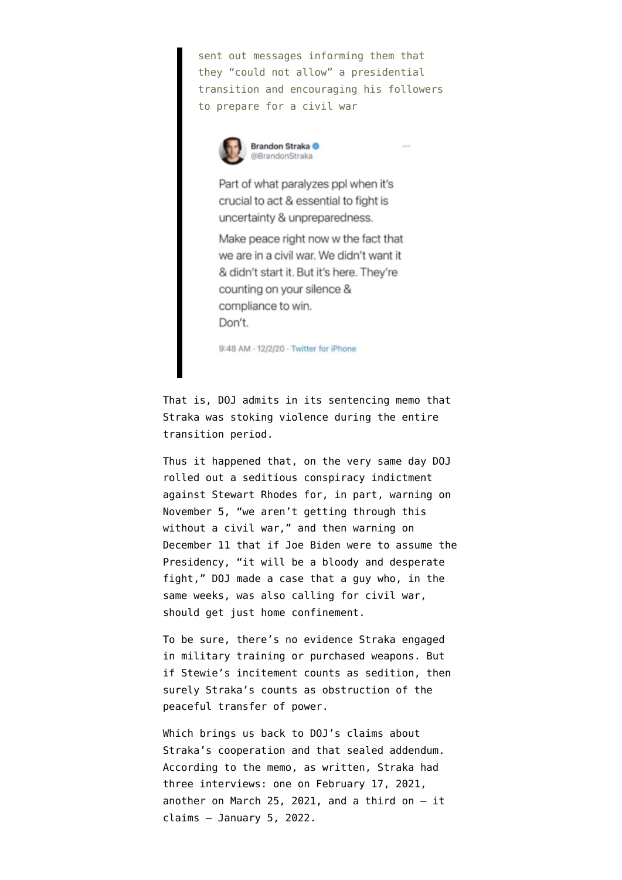sent out messages informing them that they "could not allow" a presidential transition and encouraging his followers to prepare for a civil war



Part of what paralyzes ppl when it's crucial to act & essential to fight is uncertainty & unpreparedness.

Make peace right now w the fact that we are in a civil war. We didn't want it & didn't start it. But it's here. They're counting on your silence & compliance to win. Don't.

9:48 AM · 12/2/20 · Twitter for iPhone

That is, DOJ admits in its sentencing memo that Straka was stoking violence during the entire transition period.

Thus it happened that, on the very same day DOJ rolled out [a seditious conspiracy indictment](https://www.justice.gov/opa/press-release/file/1462481/download) against Stewart Rhodes for, in part, warning on November 5, "we aren't getting through this without a civil war," and then warning on December 11 that if Joe Biden were to assume the Presidency, "it will be a bloody and desperate fight," DOJ made a case that a guy who, in the same weeks, was also calling for civil war, should get just home confinement.

To be sure, there's no evidence Straka engaged in military training or purchased weapons. But if Stewie's incitement counts as sedition, then surely Straka's counts as obstruction of the peaceful transfer of power.

Which brings us back to DOJ's claims about Straka's cooperation and that sealed addendum. According to the memo, as written, Straka had three interviews: one on February 17, 2021, another on March 25, 2021, and a third on  $-$  it claims — January 5, 2022.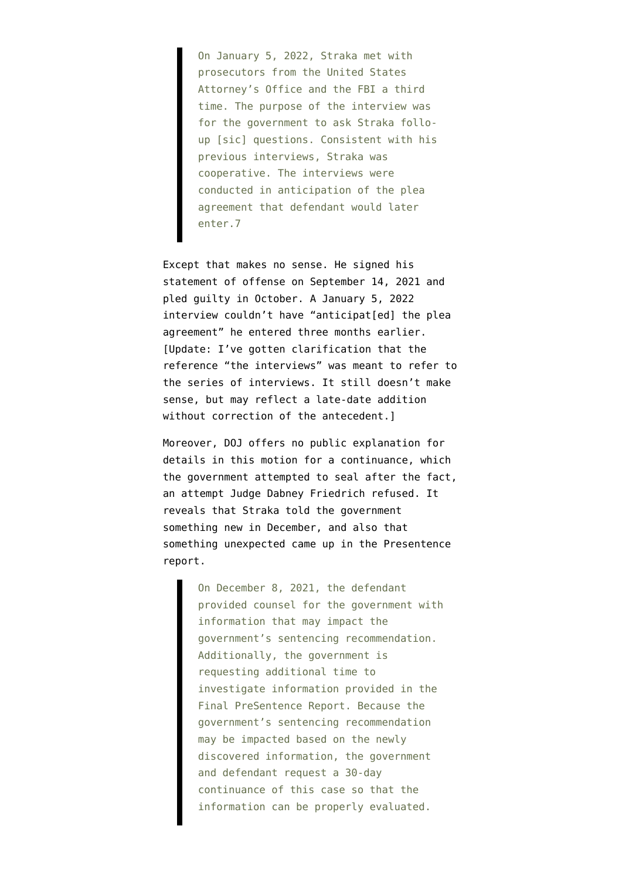On January 5, 2022, Straka met with prosecutors from the United States Attorney's Office and the FBI a third time. The purpose of the interview was for the government to ask Straka folloup [sic] questions. Consistent with his previous interviews, Straka was cooperative. The interviews were conducted in anticipation of the plea agreement that defendant would later enter.7

Except that makes no sense. He signed his statement of offense on September 14, 2021 and pled guilty in October. A January 5, 2022 interview couldn't have "anticipat[ed] the plea agreement" he entered three months earlier. [Update: I've gotten clarification that the reference "the interviews" was meant to refer to the series of interviews. It still doesn't make sense, but may reflect a late-date addition without correction of the antecedent.]

Moreover, DOJ offers no public explanation for details in [this motion for a continuance,](https://storage.courtlistener.com/recap/gov.uscourts.dcd.235647/gov.uscourts.dcd.235647.33.0.pdf) which the government attempted to seal after the fact, an attempt Judge Dabney Friedrich refused. It reveals that Straka told the government something new in December, and also that something unexpected came up in the Presentence report.

> On December 8, 2021, the defendant provided counsel for the government with information that may impact the government's sentencing recommendation. Additionally, the government is requesting additional time to investigate information provided in the Final PreSentence Report. Because the government's sentencing recommendation may be impacted based on the newly discovered information, the government and defendant request a 30-day continuance of this case so that the information can be properly evaluated.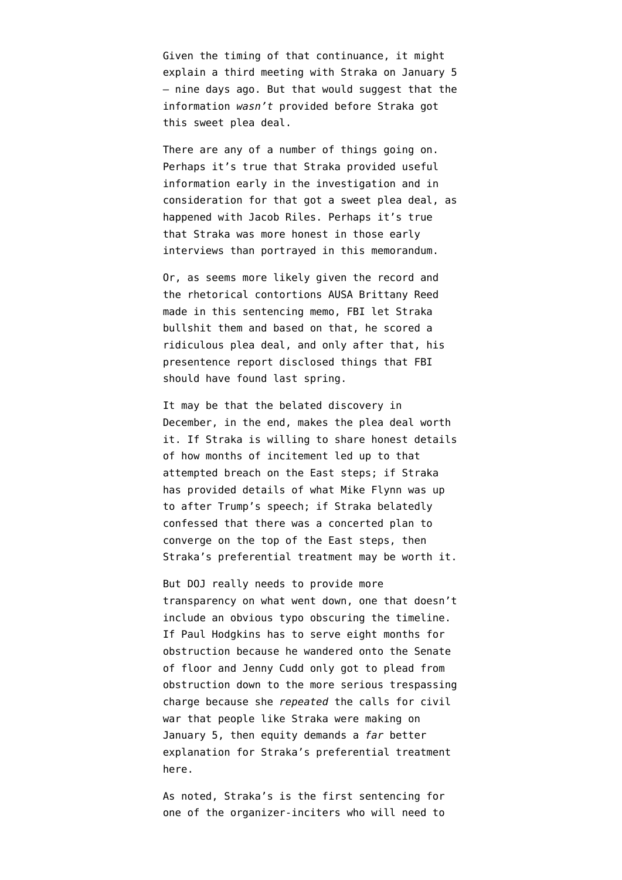Given the timing of that continuance, it might explain a third meeting with Straka on January 5 — nine days ago. But that would suggest that the information *wasn't* provided before Straka got this sweet plea deal.

There are any of a number of things going on. Perhaps it's true that Straka provided useful information early in the investigation and in consideration for that got a sweet plea deal, as happened with Jacob Riles. Perhaps it's true that Straka was more honest in those early interviews than portrayed in this memorandum.

Or, as seems more likely given the record and the rhetorical contortions AUSA Brittany Reed made in this sentencing memo, FBI let Straka bullshit them and based on that, he scored a ridiculous plea deal, and only after that, his presentence report disclosed things that FBI should have found last spring.

It may be that the belated discovery in December, in the end, makes the plea deal worth it. If Straka is willing to share honest details of how months of incitement led up to that attempted breach on the East steps; if Straka has provided details of what Mike Flynn was up to after Trump's speech; if Straka belatedly confessed that there was a concerted plan to converge on the top of the East steps, then Straka's preferential treatment may be worth it.

But DOJ really needs to provide more transparency on what went down, one that doesn't include an obvious typo obscuring the timeline. If Paul Hodgkins [has to serve eight months for](https://www.emptywheel.net/2021/09/04/how-jacob-chansley-proved-patrick-leduc-right/) [obstruction](https://www.emptywheel.net/2021/09/04/how-jacob-chansley-proved-patrick-leduc-right/) because he wandered onto the Senate of floor and Jenny Cudd [only got to plead from](https://www.emptywheel.net/2021/10/14/jenny-cudds-pre-and-post-riot-endorsement-of-a-revolution/) [obstruction down to the more serious trespassing](https://www.emptywheel.net/2021/10/14/jenny-cudds-pre-and-post-riot-endorsement-of-a-revolution/) [charge](https://www.emptywheel.net/2021/10/14/jenny-cudds-pre-and-post-riot-endorsement-of-a-revolution/) because she *repeated* the calls for civil war that people like Straka were making on January 5, then equity demands a *far* better explanation for Straka's preferential treatment here.

As noted, Straka's is the first sentencing for one of [the organizer-inciters](https://www.emptywheel.net/2021/12/16/the-pied-piper-of-insurrection-and-other-challenges-in-charging-the-january-6-organizer-inciters/) who will need to